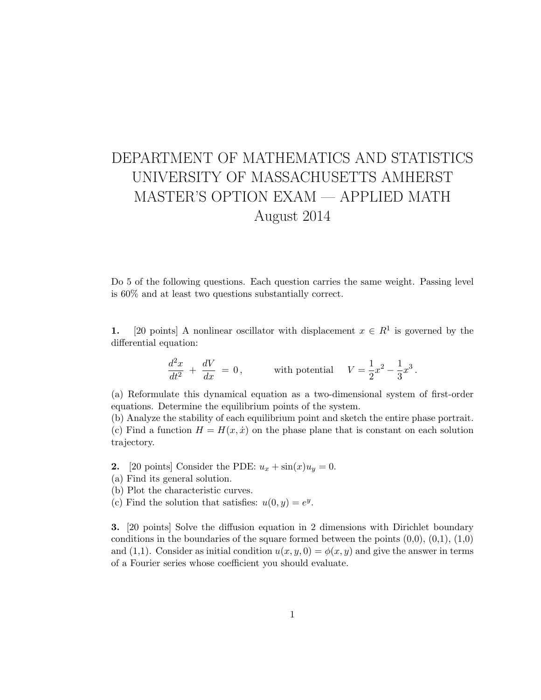## DEPARTMENT OF MATHEMATICS AND STATISTICS UNIVERSITY OF MASSACHUSETTS AMHERST MASTER'S OPTION EXAM — APPLIED MATH August 2014

Do 5 of the following questions. Each question carries the same weight. Passing level is 60% and at least two questions substantially correct.

1. [20 points] A nonlinear oscillator with displacement  $x \in R<sup>1</sup>$  is governed by the differential equation:

$$
\frac{d^2x}{dt^2} + \frac{dV}{dx} = 0,
$$
 with potential  $V = \frac{1}{2}x^2 - \frac{1}{3}x^3$ 

.

(a) Reformulate this dynamical equation as a two-dimensional system of first-order equations. Determine the equilibrium points of the system.

(b) Analyze the stability of each equilibrium point and sketch the entire phase portrait. (c) Find a function  $H = H(x, \dot{x})$  on the phase plane that is constant on each solution trajectory.

**2.** [20 points] Consider the PDE:  $u_x + \sin(x)u_y = 0$ .

(a) Find its general solution.

(b) Plot the characteristic curves.

(c) Find the solution that satisfies:  $u(0, y) = e^y$ .

3. [20 points] Solve the diffusion equation in 2 dimensions with Dirichlet boundary conditions in the boundaries of the square formed between the points  $(0,0)$ ,  $(0,1)$ ,  $(1,0)$ and (1,1). Consider as initial condition  $u(x, y, 0) = \phi(x, y)$  and give the answer in terms of a Fourier series whose coefficient you should evaluate.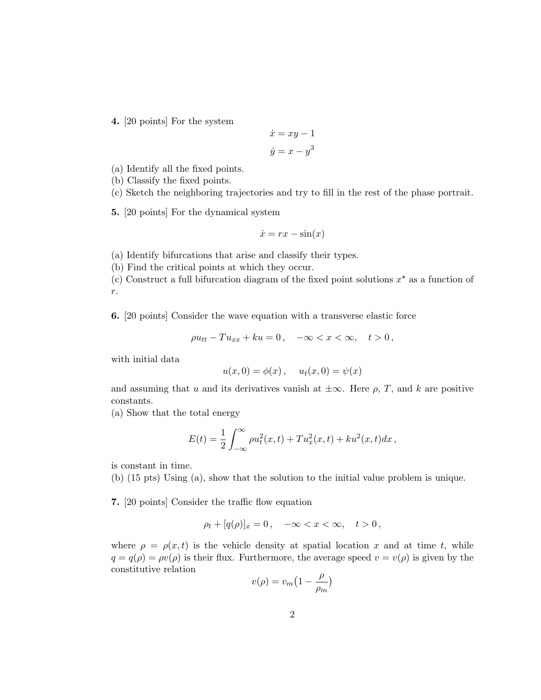4. [20 points] For the system

$$
\dot{x} = xy - 1
$$

$$
\dot{y} = x - y^3
$$

(a) Identify all the fixed points.

(b) Classify the fixed points.

(c) Sketch the neighboring trajectories and try to fill in the rest of the phase portrait.

5. [20 points] For the dynamical system

$$
\dot{x} = rx - \sin(x)
$$

(a) Identify bifurcations that arise and classify their types.

(b) Find the critical points at which they occur.

(c) Construct a full bifurcation diagram of the fixed point solutions  $x^*$  as a function of r.

6. [20 points] Consider the wave equation with a transverse elastic force

$$
\rho u_{tt} - T u_{xx} + k u = 0, \quad -\infty < x < \infty, \quad t > 0
$$

with initial data

$$
u(x, 0) = \phi(x), \quad u_t(x, 0) = \psi(x)
$$

and assuming that u and its derivatives vanish at  $\pm \infty$ . Here  $\rho$ , T, and k are positive constants.

(a) Show that the total energy

$$
E(t) = \frac{1}{2} \int_{-\infty}^{\infty} \rho u_t^2(x, t) + T u_x^2(x, t) + k u^2(x, t) dx,
$$

is constant in time.

(b) (15 pts) Using (a), show that the solution to the initial value problem is unique.

7. [20 points] Consider the traffic flow equation

$$
\rho_t + [q(\rho)]_x = 0, \quad -\infty < x < \infty, \quad t > 0,
$$

where  $\rho = \rho(x, t)$  is the vehicle density at spatial location x and at time t, while  $q = q(\rho) = \rho v(\rho)$  is their flux. Furthermore, the average speed  $v = v(\rho)$  is given by the constitutive relation

$$
v(\rho) = v_m \left(1 - \frac{\rho}{\rho_m}\right)
$$